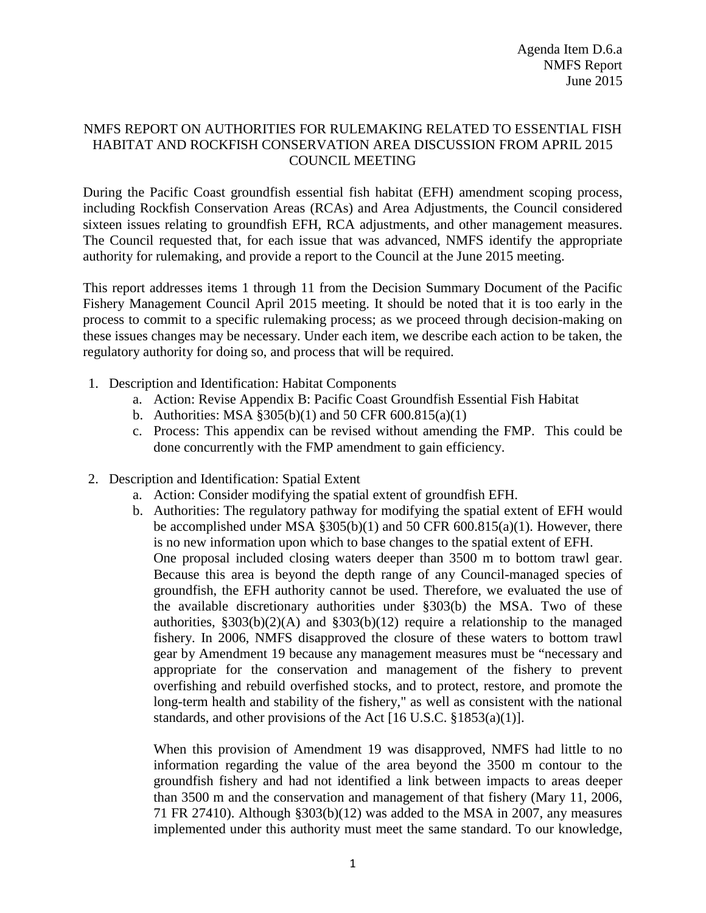## NMFS REPORT ON AUTHORITIES FOR RULEMAKING RELATED TO ESSENTIAL FISH HABITAT AND ROCKFISH CONSERVATION AREA DISCUSSION FROM APRIL 2015 COUNCIL MEETING

During the Pacific Coast groundfish essential fish habitat (EFH) amendment scoping process, including Rockfish Conservation Areas (RCAs) and Area Adjustments, the Council considered sixteen issues relating to groundfish EFH, RCA adjustments, and other management measures. The Council requested that, for each issue that was advanced, NMFS identify the appropriate authority for rulemaking, and provide a report to the Council at the June 2015 meeting.

This report addresses items 1 through 11 from the Decision Summary Document of the Pacific Fishery Management Council April 2015 meeting. It should be noted that it is too early in the process to commit to a specific rulemaking process; as we proceed through decision-making on these issues changes may be necessary. Under each item, we describe each action to be taken, the regulatory authority for doing so, and process that will be required.

- 1. Description and Identification: Habitat Components
	- a. Action: Revise Appendix B: Pacific Coast Groundfish Essential Fish Habitat
	- b. Authorities: MSA §305(b)(1) and 50 CFR 600.815(a)(1)
	- c. Process: This appendix can be revised without amending the FMP. This could be done concurrently with the FMP amendment to gain efficiency.
- 2. Description and Identification: Spatial Extent
	- a. Action: Consider modifying the spatial extent of groundfish EFH.
	- b. Authorities: The regulatory pathway for modifying the spatial extent of EFH would be accomplished under MSA  $\S 305(b)(1)$  and 50 CFR 600.815(a)(1). However, there is no new information upon which to base changes to the spatial extent of EFH. One proposal included closing waters deeper than 3500 m to bottom trawl gear. Because this area is beyond the depth range of any Council-managed species of groundfish, the EFH authority cannot be used. Therefore, we evaluated the use of the available discretionary authorities under §303(b) the MSA. Two of these authorities,  $\S 303(b)(2)(A)$  and  $\S 303(b)(12)$  require a relationship to the managed fishery. In 2006, NMFS disapproved the closure of these waters to bottom trawl gear by Amendment 19 because any management measures must be "necessary and appropriate for the conservation and management of the fishery to prevent overfishing and rebuild overfished stocks, and to protect, restore, and promote the long-term health and stability of the fishery," as well as consistent with the national standards, and other provisions of the Act [16 U.S.C. §1853(a)(1)].

When this provision of Amendment 19 was disapproved, NMFS had little to no information regarding the value of the area beyond the 3500 m contour to the groundfish fishery and had not identified a link between impacts to areas deeper than 3500 m and the conservation and management of that fishery (Mary 11, 2006, 71 FR 27410). Although §303(b)(12) was added to the MSA in 2007, any measures implemented under this authority must meet the same standard. To our knowledge,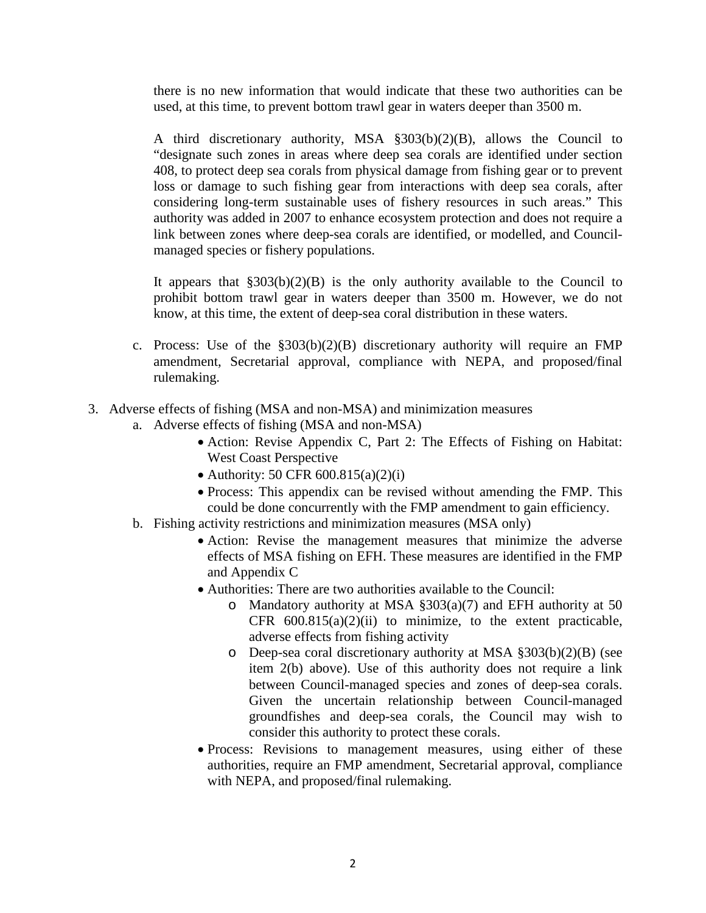there is no new information that would indicate that these two authorities can be used, at this time, to prevent bottom trawl gear in waters deeper than 3500 m.

A third discretionary authority, MSA §303(b)(2)(B), allows the Council to "designate such zones in areas where deep sea corals are identified under section 408, to protect deep sea corals from physical damage from fishing gear or to prevent loss or damage to such fishing gear from interactions with deep sea corals, after considering long-term sustainable uses of fishery resources in such areas." This authority was added in 2007 to enhance ecosystem protection and does not require a link between zones where deep-sea corals are identified, or modelled, and Councilmanaged species or fishery populations.

It appears that  $\S 303(b)(2)(B)$  is the only authority available to the Council to prohibit bottom trawl gear in waters deeper than 3500 m. However, we do not know, at this time, the extent of deep-sea coral distribution in these waters.

- c. Process: Use of the  $\S 303(b)(2)(B)$  discretionary authority will require an FMP amendment, Secretarial approval, compliance with NEPA, and proposed/final rulemaking.
- 3. Adverse effects of fishing (MSA and non-MSA) and minimization measures
	- a. Adverse effects of fishing (MSA and non-MSA)
		- Action: Revise Appendix C, Part 2: The Effects of Fishing on Habitat: West Coast Perspective
		- Authority: 50 CFR  $600.815(a)(2)(i)$
		- Process: This appendix can be revised without amending the FMP. This could be done concurrently with the FMP amendment to gain efficiency.
	- b. Fishing activity restrictions and minimization measures (MSA only)
		- Action: Revise the management measures that minimize the adverse effects of MSA fishing on EFH. These measures are identified in the FMP and Appendix C
		- Authorities: There are two authorities available to the Council:
			- o Mandatory authority at MSA §303(a)(7) and EFH authority at 50 CFR  $600.815(a)(2)(ii)$  to minimize, to the extent practicable, adverse effects from fishing activity
			- o Deep-sea coral discretionary authority at MSA §303(b)(2)(B) (see item 2(b) above). Use of this authority does not require a link between Council-managed species and zones of deep-sea corals. Given the uncertain relationship between Council-managed groundfishes and deep-sea corals, the Council may wish to consider this authority to protect these corals.
		- Process: Revisions to management measures, using either of these authorities, require an FMP amendment, Secretarial approval, compliance with NEPA, and proposed/final rulemaking.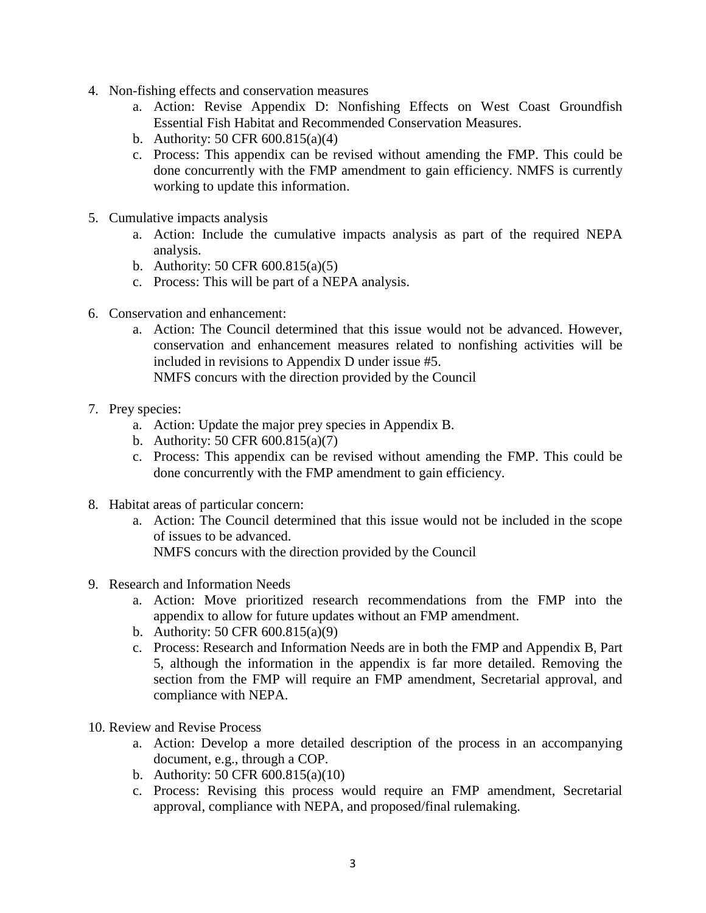- 4. Non-fishing effects and conservation measures
	- a. Action: Revise Appendix D: Nonfishing Effects on West Coast Groundfish Essential Fish Habitat and Recommended Conservation Measures.
	- b. Authority: 50 CFR 600.815(a)(4)
	- c. Process: This appendix can be revised without amending the FMP. This could be done concurrently with the FMP amendment to gain efficiency. NMFS is currently working to update this information.
- 5. Cumulative impacts analysis
	- a. Action: Include the cumulative impacts analysis as part of the required NEPA analysis.
	- b. Authority: 50 CFR 600.815(a)(5)
	- c. Process: This will be part of a NEPA analysis.
- 6. Conservation and enhancement:
	- a. Action: The Council determined that this issue would not be advanced. However, conservation and enhancement measures related to nonfishing activities will be included in revisions to Appendix D under issue #5.

NMFS concurs with the direction provided by the Council

- 7. Prey species:
	- a. Action: Update the major prey species in Appendix B.
	- b. Authority: 50 CFR 600.815(a)(7)
	- c. Process: This appendix can be revised without amending the FMP. This could be done concurrently with the FMP amendment to gain efficiency.
- 8. Habitat areas of particular concern:
	- a. Action: The Council determined that this issue would not be included in the scope of issues to be advanced. NMFS concurs with the direction provided by the Council
	-
- 9. Research and Information Needs
	- a. Action: Move prioritized research recommendations from the FMP into the appendix to allow for future updates without an FMP amendment.
	- b. Authority: 50 CFR 600.815(a)(9)
	- c. Process: Research and Information Needs are in both the FMP and Appendix B, Part 5, although the information in the appendix is far more detailed. Removing the section from the FMP will require an FMP amendment, Secretarial approval, and compliance with NEPA.
- 10. Review and Revise Process
	- a. Action: Develop a more detailed description of the process in an accompanying document, e.g., through a COP.
	- b. Authority: 50 CFR 600.815(a)(10)
	- c. Process: Revising this process would require an FMP amendment, Secretarial approval, compliance with NEPA, and proposed/final rulemaking.